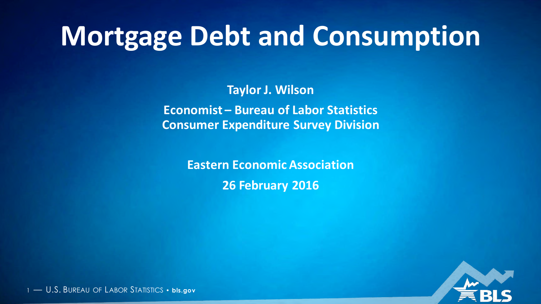# **Mortgage Debt and Consumption**

**Taylor J. Wilson Economist – Bureau of Labor Statistics Consumer Expenditure Survey Division**

> **Eastern Economic Association 26 February 2016**

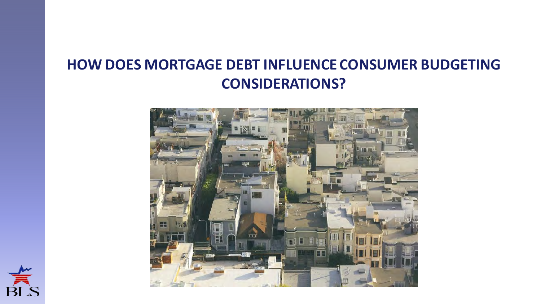#### **HOW DOES MORTGAGE DEBT INFLUENCE CONSUMER BUDGETING CONSIDERATIONS?**



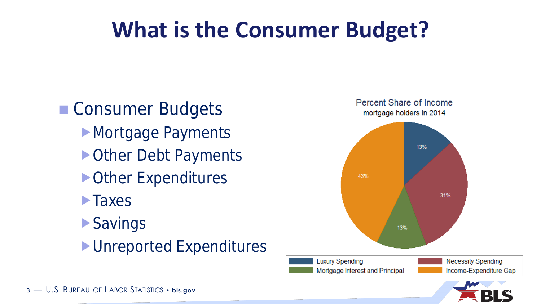# **What is the Consumer Budget?**

■ Consumer Budgets **Mortgage Payments** ▶ Other Debt Payments ▶ Other Expenditures **Taxes Savings** Unreported Expenditures



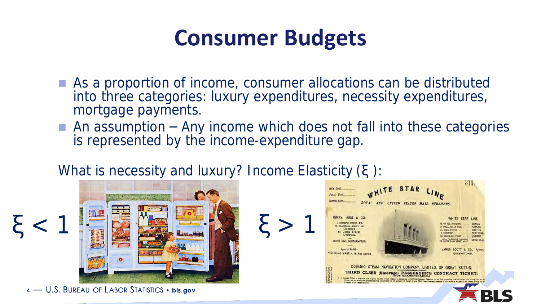### **Consumer Budgets**

- As a proportion of income, consumer allocations can be distributed into three categories: luxury expenditures, necessity expenditures, mortgage payments.
- An assumption  $-$  Any income which does not fall into these categories is represented by the income-expenditure gap.

#### What is necessity and luxury? Income Elasticity  $(\xi)$ :



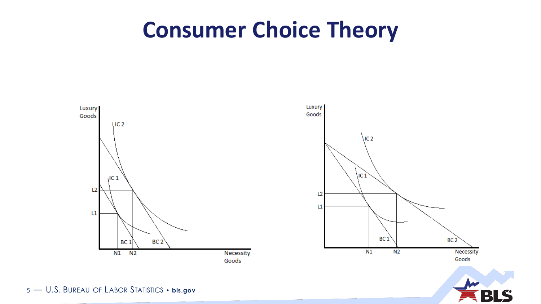#### **Consumer Choice Theory**

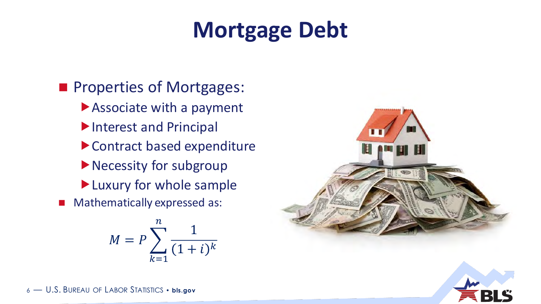# **Mortgage Debt**

#### **Properties of Mortgages:** Associate with a payment Interest and Principal Contract based expenditure Necessity for subgroup **Luxury for whole sample** Mathematically expressed as:

$$
M = P \sum_{k=1}^{n} \frac{1}{(1+i)^k}
$$



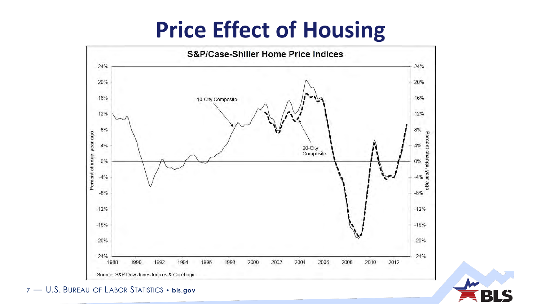### **Price Effect of Housing**

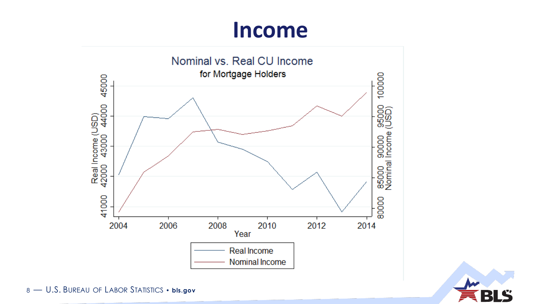#### Income



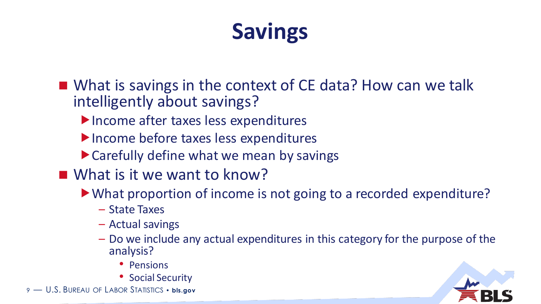# **Savings**

- What is savings in the context of CE data? How can we talk intelligently about savings?
	- Income after taxes less expenditures
	- Income before taxes less expenditures
	- Carefully define what we mean by savings
- What is it we want to know?
	- What proportion of income is not going to a recorded expenditure?
		- State Taxes
		- Actual savings
		- Do we include any actual expenditures in this category for the purpose of the analysis?
			- Pensions
			- Social Security

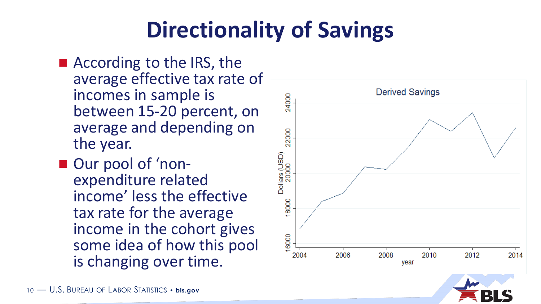# **Directionality of Savings**

- According to the IRS, the average effective tax rate of incomes in sample is between 15 -20 percent, on average and depending on the year.
- Our pool of 'nonexpenditure related income' less the effective tax rate for the average income in the cohort gives some idea of how this pool is changing over time.

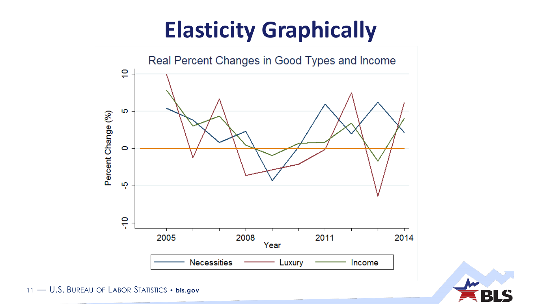# **Elasticity Graphically**



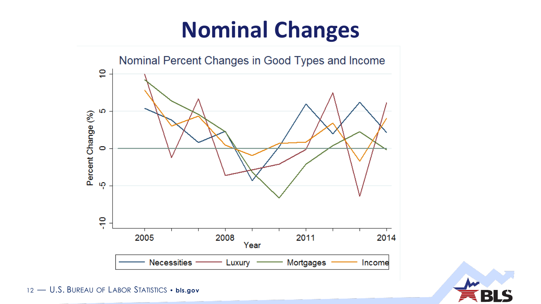# **Nominal Changes**



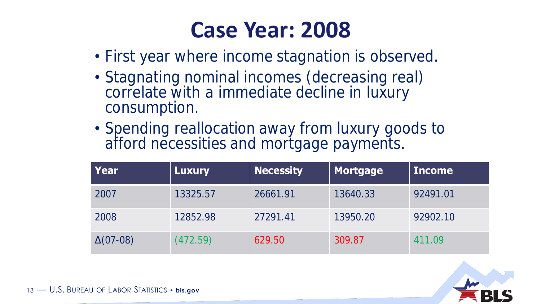### **Case Year: 2008**

- First year where income stagnation is observed.
- Stagnating nominal incomes (decreasing real) correlate with a immediate decline in luxury consumption.
- Spending reallocation away from luxury goods to afford necessities and mortgage payments.

| Year            | <b>Luxury</b> | <b>Necessity</b> | $\parallel$ Mortgage | <b>Income</b> |
|-----------------|---------------|------------------|----------------------|---------------|
| 2007            | 13325.57      | 26661.91         | 13640.33             | 92491.01      |
| 2008            | 12852.98      | 27291.41         | 13950.20             | 92902.10      |
| $\Delta(07-08)$ | (472.59)      | 629.50           | 309.87               | 411.09        |

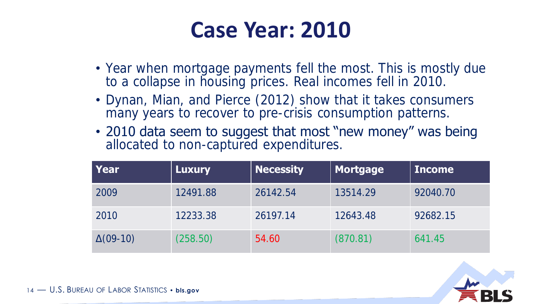#### **Case Year: 2010**

- Year when mortgage payments fell the most. This is mostly due to a collapse in housing prices. Real incomes fell in 2010.
- Dynan, Mian, and Pierce (2012) show that it takes consumers many years to recover to pre-crisis consumption patterns.
- 2010 data seem to suggest that most "new money" was being allocated to non-captured expenditures.

| Year            | <b>Luxury</b> | <b>Necessity</b> | Mortgage | <b>Income</b> |
|-----------------|---------------|------------------|----------|---------------|
| 2009            | 12491.88      | 26142.54         | 13514.29 | 92040.70      |
| 2010            | 12233.38      | 26197.14         | 12643.48 | 92682.15      |
| $\Delta(09-10)$ | (258.50)      | 54.60            | (870.81) | 641.45        |

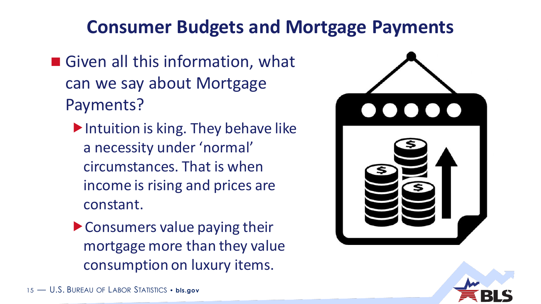#### **Consumer Budgets and Mortgage Payments**

- Given all this information, what can we say about Mortgage Payments?
	- Intuition is king. They behave like a necessity under 'normal' circumstances. That is when income is rising and prices are constant.
	- Consumers value paying their mortgage more than they value consumption on luxury items.



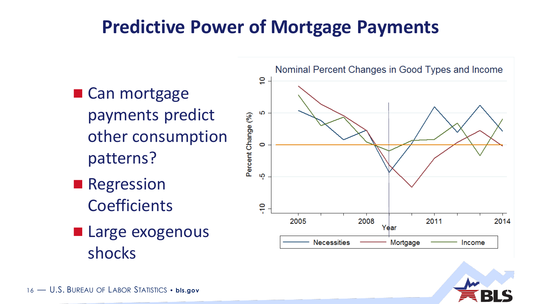#### **Predictive Power of Mortgage Payments**

- Can mortgage payments predict other consumption patterns?
- **Regression Coefficients**
- **Large exogenous** shocks